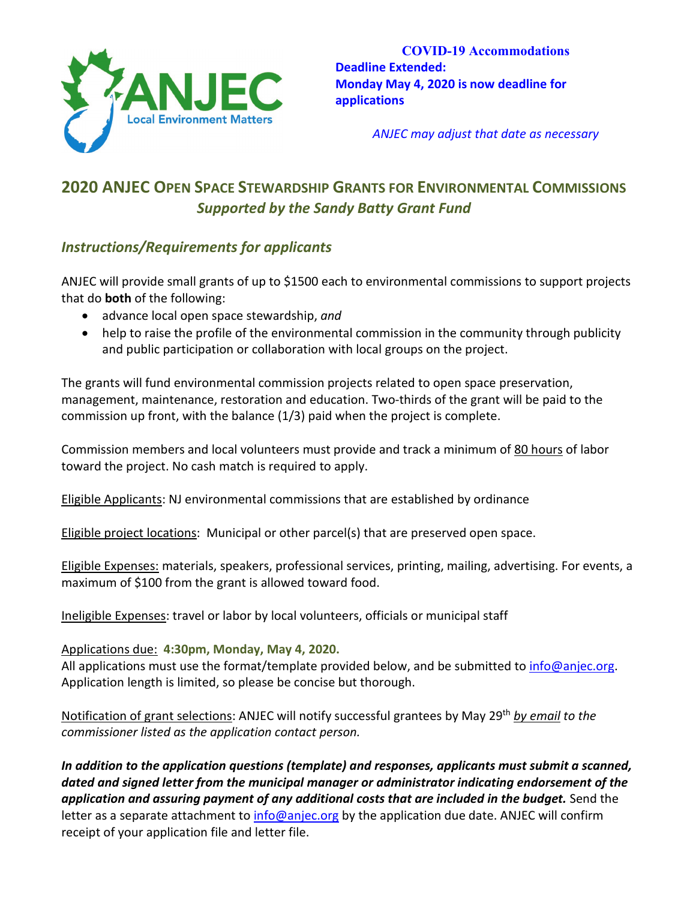

**COVID-19 Accommodations Deadline Extended: Monday May 4, 2020 is now deadline for applications**

*ANJEC may adjust that date as necessary*

# **2020 ANJEC OPEN SPACE STEWARDSHIP GRANTS FOR ENVIRONMENTAL COMMISSIONS** *Supported by the Sandy Batty Grant Fund*

### *Instructions/Requirements for applicants*

ANJEC will provide small grants of up to \$1500 each to environmental commissions to support projects that do **both** of the following:

- advance local open space stewardship, *and*
- help to raise the profile of the environmental commission in the community through publicity and public participation or collaboration with local groups on the project.

The grants will fund environmental commission projects related to open space preservation, management, maintenance, restoration and education. Two-thirds of the grant will be paid to the commission up front, with the balance (1/3) paid when the project is complete.

Commission members and local volunteers must provide and track a minimum of 80 hours of labor toward the project. No cash match is required to apply.

Eligible Applicants: NJ environmental commissions that are established by ordinance

Eligible project locations: Municipal or other parcel(s) that are preserved open space.

Eligible Expenses: materials, speakers, professional services, printing, mailing, advertising. For events, a maximum of \$100 from the grant is allowed toward food.

Ineligible Expenses: travel or labor by local volunteers, officials or municipal staff

#### Applications due: **4:30pm, Monday, May 4, 2020.**

All applications must use the format/template provided below, and be submitted t[o info@anjec.org.](mailto:info@anjec.org) Application length is limited, so please be concise but thorough.

Notification of grant selections: ANJEC will notify successful grantees by May 29th *by email to the commissioner listed as the application contact person.*

*In addition to the application questions (template) and responses, applicants must submit a scanned, dated and signed letter from the municipal manager or administrator indicating endorsement of the application and assuring payment of any additional costs that are included in the budget.* Send the letter as a separate attachment to [info@anjec.org](mailto:info@anjec.org) by the application due date. ANJEC will confirm receipt of your application file and letter file.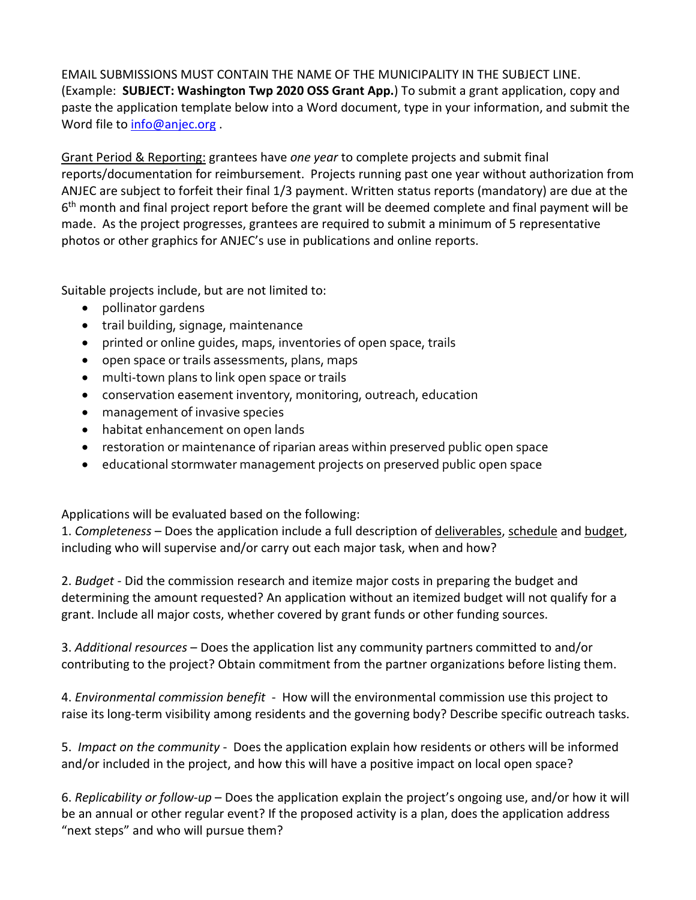EMAIL SUBMISSIONS MUST CONTAIN THE NAME OF THE MUNICIPALITY IN THE SUBJECT LINE. (Example: **SUBJECT: Washington Twp 2020 OSS Grant App.**) To submit a grant application, copy and paste the application template below into a Word document, type in your information, and submit the Word file to [info@anjec.org](mailto:info@anjec.org).

Grant Period & Reporting: grantees have *one year* to complete projects and submit final reports/documentation for reimbursement. Projects running past one year without authorization from ANJEC are subject to forfeit their final 1/3 payment. Written status reports (mandatory) are due at the  $6<sup>th</sup>$  month and final project report before the grant will be deemed complete and final payment will be made. As the project progresses, grantees are required to submit a minimum of 5 representative photos or other graphics for ANJEC's use in publications and online reports.

Suitable projects include, but are not limited to:

- pollinator gardens
- trail building, signage, maintenance
- printed or online guides, maps, inventories of open space, trails
- open space or trails assessments, plans, maps
- multi-town plans to link open space or trails
- conservation easement inventory, monitoring, outreach, education
- management of invasive species
- habitat enhancement on open lands
- restoration or maintenance of riparian areas within preserved public open space
- educational stormwater management projects on preserved public open space

Applications will be evaluated based on the following:

1. *Completeness* – Does the application include a full description of deliverables, schedule and budget, including who will supervise and/or carry out each major task, when and how?

2. *Budget* - Did the commission research and itemize major costs in preparing the budget and determining the amount requested? An application without an itemized budget will not qualify for a grant. Include all major costs, whether covered by grant funds or other funding sources.

3. *Additional resources* – Does the application list any community partners committed to and/or contributing to the project? Obtain commitment from the partner organizations before listing them.

4. *Environmental commission benefit* -How will the environmental commission use this project to raise its long-term visibility among residents and the governing body? Describe specific outreach tasks.

5. *Impact on the community* - Does the application explain how residents or others will be informed and/or included in the project, and how this will have a positive impact on local open space?

6. *Replicability or follow-up* – Does the application explain the project's ongoing use, and/or how it will be an annual or other regular event? If the proposed activity is a plan, does the application address "next steps" and who will pursue them?